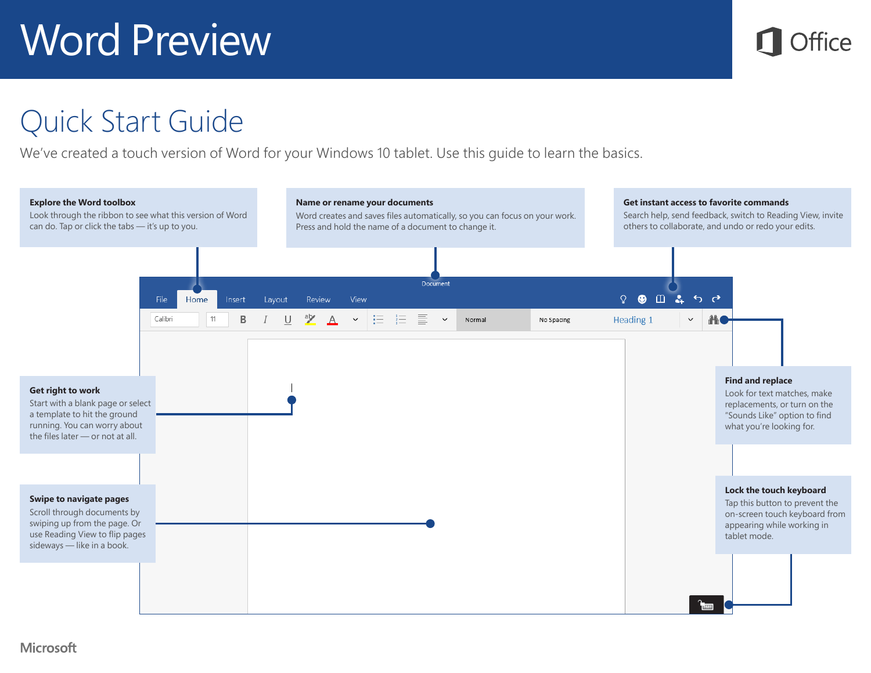

### Quick Start Guide

We've created a touch version of Word for your Windows 10 tablet. Use this guide to learn the basics.

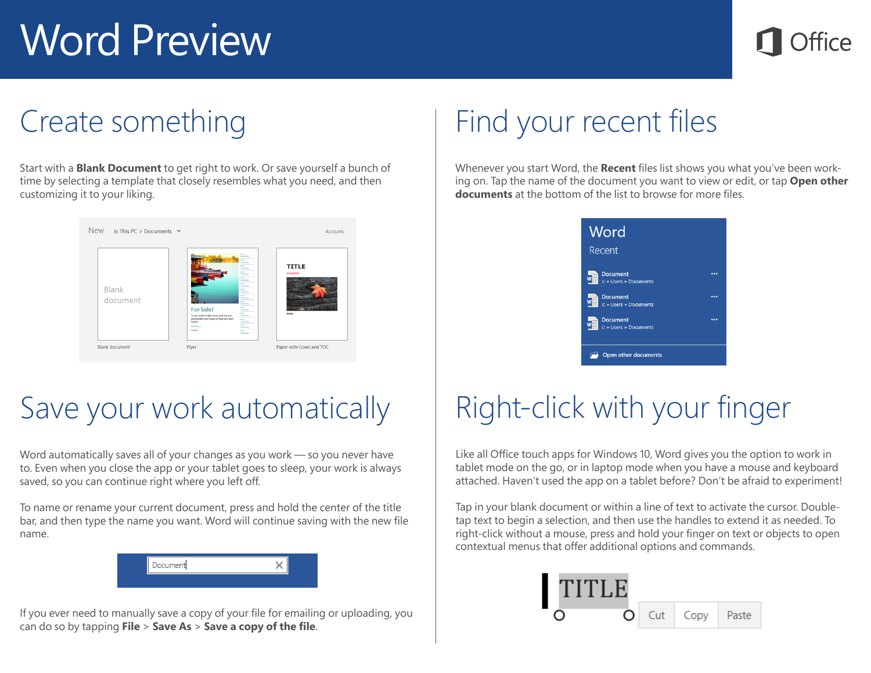#### Create something

Start with a **Blank Document** to get right to work. Or save yourself a bunch of time by selecting a template that closely resembles what you need, and then customizing it to your liking.



## Save your work automatically

Word automatically saves all of your changes as you work — so you never have to. Even when you close the app or your tablet goes to sleep, your work is always saved, so you can continue right where you left off.

To name or rename your current document, press and hold the center of the title bar, and then type the name you want. Word will continue saving with the new file name.

| Document |  |
|----------|--|
|          |  |

If you ever need to manually save a copy of your file for emailing or uploading, you can do so by tapping **File** > **Save As** > **Save a copy of the file**.

# Find your recent files

Whenever you start Word, the **Recent** files list shows you what you've been working on. Tap the name of the document you want to view or edit, or tap **Open other documents** at the bottom of the list to browse for more files.



# Right-click with your finger

Like all Office touch apps for Windows 10, Word gives you the option to work in tablet mode on the go, or in laptop mode when you have a mouse and keyboard attached. Haven't used the app on a tablet before? Don't be afraid to experiment!

Tap in your blank document or within a line of text to activate the cursor. Doubletap text to begin a selection, and then use the handles to extend it as needed. To right-click without a mouse, press and hold your finger on text or objects to open contextual menus that offer additional options and commands.

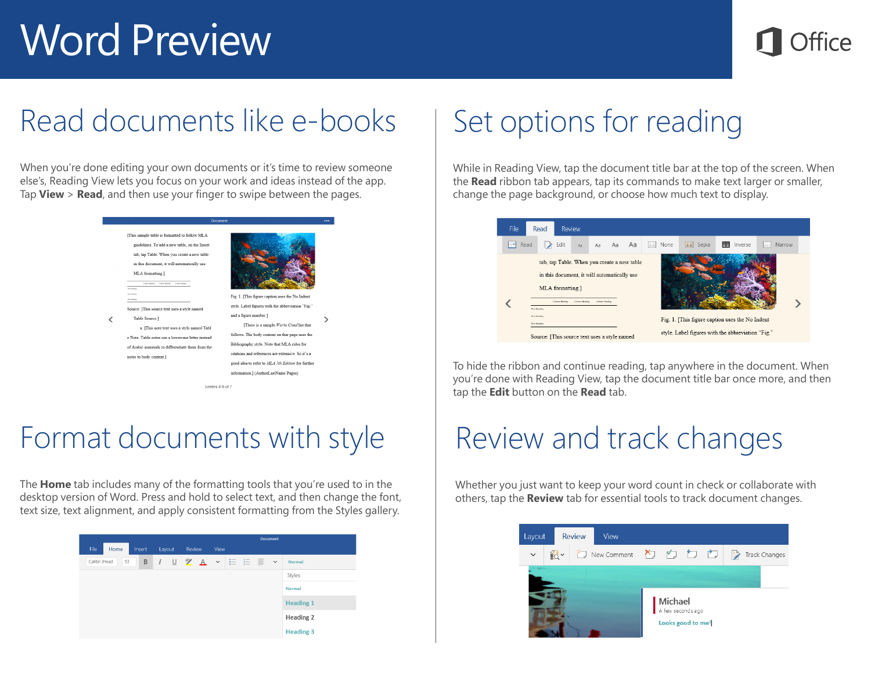### Read documents like e-books

When you're done editing your own documents or it's time to review someone else's, Reading View lets you focus on your work and ideas instead of the app. Tap **View** > **Read**, and then use your finger to swipe between the pages.



### Format documents with style

The **Home** tab includes many of the formatting tools that you're used to in the desktop version of Word. Press and hold to select text, and then change the font, text size, text alignment, and apply consistent formatting from the Styles gallery.



## Set options for reading

While in Reading View, tap the document title bar at the top of the screen. When the **Read** ribbon tab appears, tap its commands to make text larger or smaller, change the page background, or choose how much text to display.



To hide the ribbon and continue reading, tap anywhere in the document. When you're done with Reading View, tap the document title bar once more, and then tap the **Edit** button on the **Read** tab.

## Review and track changes

Whether you just want to keep your word count in check or collaborate with others, tap the **Review** tab for essential tools to track document changes.